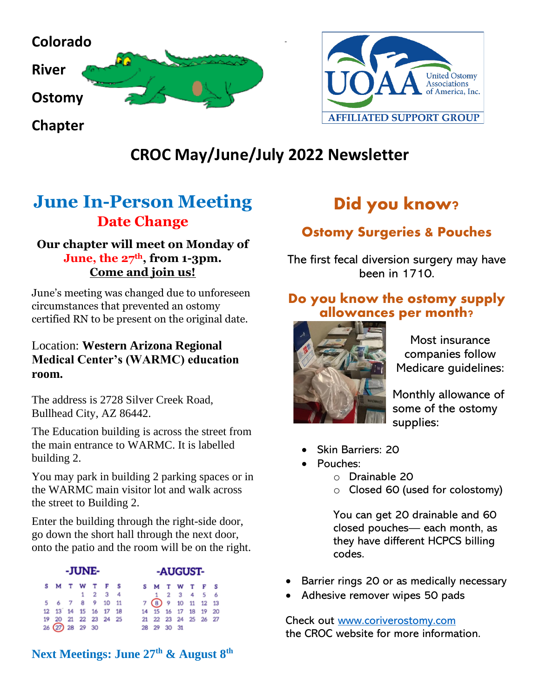



## **CROC May/June/July 2022 Newsletter**

## **June In-Person Meeting Date Change**

#### **Our chapter will meet on Monday of June, the 27th, from 1-3pm. Come and join us!**

June's meeting was changed due to unforeseen circumstances that prevented an ostomy certified RN to be present on the original date.

#### Location: **Western Arizona Regional Medical Center's (WARMC) education room.**

The address is 2728 Silver Creek Road, Bullhead City, AZ 86442.

The Education building is across the street from the main entrance to WARMC. It is labelled building 2.

You may park in building 2 parking spaces or in the WARMC main visitor lot and walk across the street to Building 2.

Enter the building through the right-side door, go down the short hall through the next door, onto the patio and the room will be on the right.

| -JUNE- |                                  |  |  |  |                 |  | -AUGUST-                               |  |             |  |  |  |  |
|--------|----------------------------------|--|--|--|-----------------|--|----------------------------------------|--|-------------|--|--|--|--|
|        | S M T W T F S                    |  |  |  |                 |  | <b>SMTWTFS</b>                         |  |             |  |  |  |  |
|        |                                  |  |  |  | $1 \t2 \t3 \t4$ |  |                                        |  | 1 2 3 4 5 6 |  |  |  |  |
|        | 5 6 7 8 9 10 11                  |  |  |  |                 |  | 7 (8) 9 10 11 12 13                    |  |             |  |  |  |  |
|        | 12   13   14   15   16   17   18 |  |  |  |                 |  | 14    15    16    17    18    19    20 |  |             |  |  |  |  |
|        | 19 20 21 22 23 24 25             |  |  |  |                 |  | 21 22 23 24 25 26 27                   |  |             |  |  |  |  |
|        | $26(27)$ 28 29 30                |  |  |  |                 |  | 28 29 30 31                            |  |             |  |  |  |  |

**Next Meetings: June 27th & August 8th**

# Did you know?

## Ostomy Surgeries & Pouches

The first fecal diversion surgery may have been in 1710.

#### Do you know the ostomy supply allowances per month?



Most insurance companies follow Medicare guidelines:

Monthly allowance of some of the ostomy supplies:

- Skin Barriers: 20
- Pouches:
	- o Drainable 20
	- o Closed 60 (used for colostomy)

You can get 20 drainable and 60 closed pouches— each month, as they have different HCPCS billing codes.

- Barrier rings 20 or as medically necessary
- Adhesive remover wipes 50 pads

Check out [www.coriverostomy.com](http://www.coriverostomy.com/)  the CROC website for more information.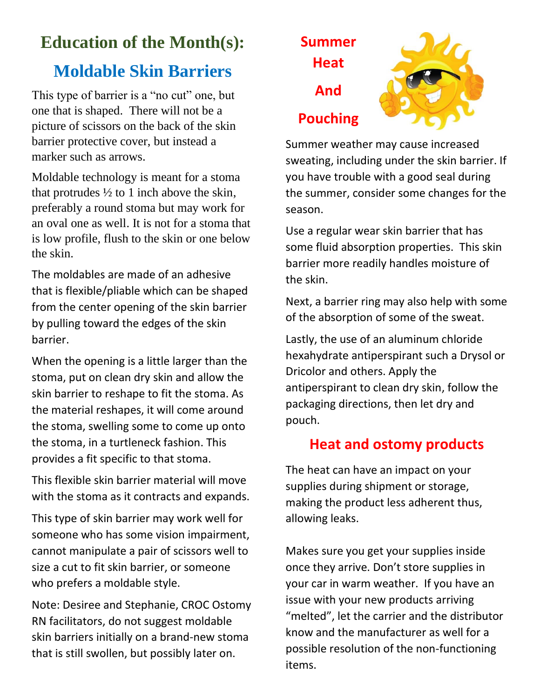# **Education of the Month(s):**

# **Moldable Skin Barriers**

This type of barrier is a "no cut" one, but one that is shaped. There will not be a picture of scissors on the back of the skin barrier protective cover, but instead a marker such as arrows.

Moldable technology is meant for a stoma that protrudes  $\frac{1}{2}$  to 1 inch above the skin, preferably a round stoma but may work for an oval one as well. It is not for a stoma that is low profile, flush to the skin or one below the skin.

The moldables are made of an adhesive that is flexible/pliable which can be shaped from the center opening of the skin barrier by pulling toward the edges of the skin barrier.

When the opening is a little larger than the stoma, put on clean dry skin and allow the skin barrier to reshape to fit the stoma. As the material reshapes, it will come around the stoma, swelling some to come up onto the stoma, in a turtleneck fashion. This provides a fit specific to that stoma.

This flexible skin barrier material will move with the stoma as it contracts and expands.

This type of skin barrier may work well for someone who has some vision impairment, cannot manipulate a pair of scissors well to size a cut to fit skin barrier, or someone who prefers a moldable style.

Note: Desiree and Stephanie, CROC Ostomy RN facilitators, do not suggest moldable skin barriers initially on a brand-new stoma that is still swollen, but possibly later on.





Summer weather may cause increased sweating, including under the skin barrier. If you have trouble with a good seal during the summer, consider some changes for the season.

Use a regular wear skin barrier that has some fluid absorption properties. This skin barrier more readily handles moisture of the skin.

Next, a barrier ring may also help with some of the absorption of some of the sweat.

Lastly, the use of an aluminum chloride hexahydrate antiperspirant such a Drysol or Dricolor and others. Apply the antiperspirant to clean dry skin, follow the packaging directions, then let dry and pouch.

#### **Heat and ostomy products**

The heat can have an impact on your supplies during shipment or storage, making the product less adherent thus, allowing leaks.

Makes sure you get your supplies inside once they arrive. Don't store supplies in your car in warm weather. If you have an issue with your new products arriving "melted", let the carrier and the distributor know and the manufacturer as well for a possible resolution of the non-functioning items.